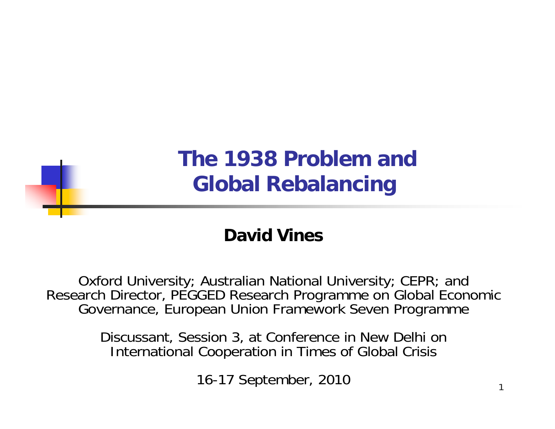

#### **David Vines**

Oxford University; Australian National University; CEPR; and Research Director, PEGGED Research Programme on Global Economic Governance, European Union Framework Seven Programme

> Discussant, Session 3, at Conference in New Delhi on International Cooperation in Times of Global Crisis

> > 16-17 September, 2010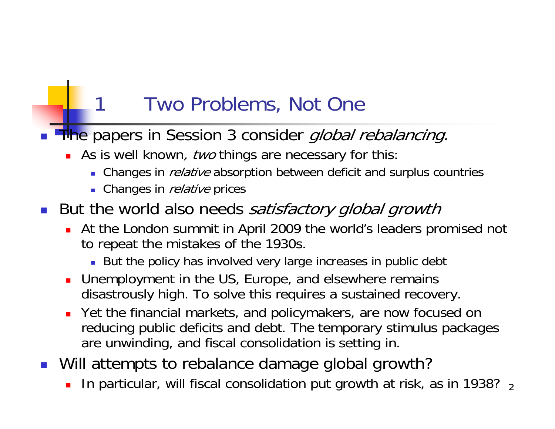### Two Problems, Not One

- П **The papers in Session 3 consider global rebalancing.** 
	- As is well known, two things are necessary for this:
		- **Changes in** *relative* **absorption between deficit and surplus countries**
		- Changes in *relative* prices
- But the world also needs satisfactory global growth
	- ▉ At the London summit in April 2009 the world's leaders promised not to repeat the mistakes of the 1930s.
		- But the policy has involved very large increases in public debt
	- **Demployment in the US, Europe, and elsewhere remains** disastrously high. To solve this requires a sustained recovery.
	- Yet the financial markets, and policymakers, are now focused on reducing public deficits and debt. The temporary stimulus packages are unwinding, and fiscal consolidation is setting in.
- Will attempts to rebalance damage global growth?
	- $\textsf{\textbf{-} In}$  particular, will fiscal consolidation put growth at risk, as in 1938?  $\textsf{\textbf{1}}$ П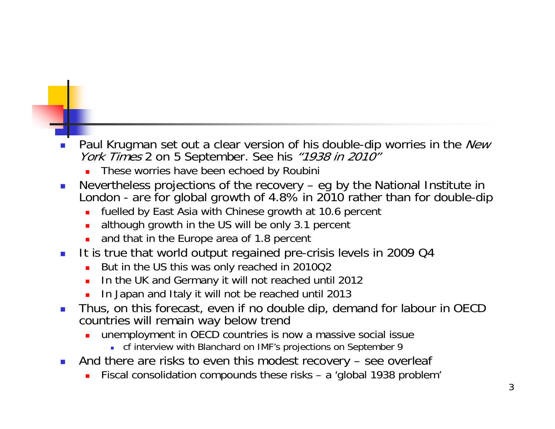- $\mathbb{R}^2$ Paul Krugman set out a clear version of his double-dip worries in the New York Times 2 on 5 September. See his "1938 in 2010"
	- □ These worries have been echoed by Roubini
- $\mathcal{L}_{\mathcal{A}}$ ■ Nevertheless projections of the recovery – eg by the National Institute in London - are for global growth of 4.8% in 2010 rather than for double-dip
	- $\blacksquare$ fuelled by East Asia with Chinese growth at 10.6 percent
	- □ although growth in the US will be only 3.1 percent
	- □ and that in the Europe area of 1.8 percent
- $\mathcal{L}_{\rm eff}$  It is true that world output regained pre-crisis levels in 2009 Q4
	- ٠ But in the US this was only reached in 2010Q2
	- □ In the UK and Germany it will not reached until 2012
	- □ In Japan and Italy it will not be reached until 2013
- $\mathcal{L}_{\mathrm{eff}}$  Thus, on this forecast, even if no double dip, demand for labour in OECD countries will remain way below trend
	- □ unemployment in OECD countries is now a massive social issue
		- **.** cf interview with Blanchard on IMF's projections on September 9
- $\mathbb{R}^2$  And there are risks to even this modest recovery – see overleaf
	- □ Fiscal consolidation compounds these risks – <sup>a</sup>'global 1938 problem'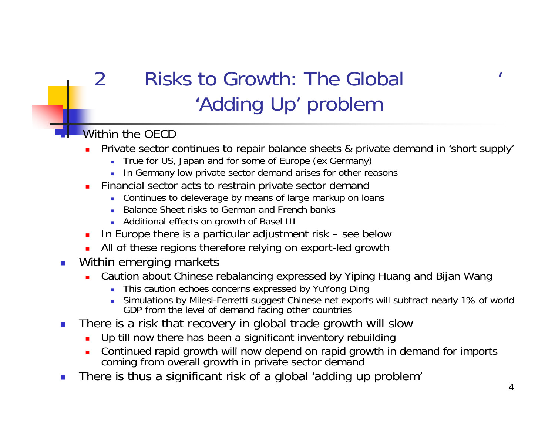# Risks to Growth: The Global  $\sim$ 'Adding Up' problem

### Within the OFCD

2

ò.

- □ Private sector continues to repair balance sheets & private demand in 'short supply'
	- True for US, Japan and for some of Europe (ex Germany)
	- In Germany low private sector demand arises for other reasons
- ä, Financial sector acts to restrain private sector demand
	- a. Continues to deleverage by means of large markup on loans
	- Balance Sheet risks to German and French banks
	- Additional effects on growth of Basel III
- □ In Europe there is a particular adjustment risk – see below
- □ All of these regions therefore relying on export-led growth
- $\mathcal{L}_{\mathcal{A}}$  Within emerging markets
	- $\blacksquare$  Caution about Chinese rebalancing expressed by Yiping Huang and Bijan Wang
		- This caution echoes concerns expressed by YuYong Ding
		- ä, Simulations by Milesi-Ferretti suggest Chinese net exports will subtract nearly 1% of world GDP from the level of demand facing other countries
- $\overline{\phantom{a}}$  There is a risk that recovery in global trade growth will slow
	- □ Up till now there has been a significant inventory rebuilding
	- Continued rapid growth will now depend on rapid growth in demand for imports Ō. coming from overall growth in private sector demand
- $\mathcal{L}_{\mathcal{A}}$ There is thus a significant risk of a global 'adding up problem'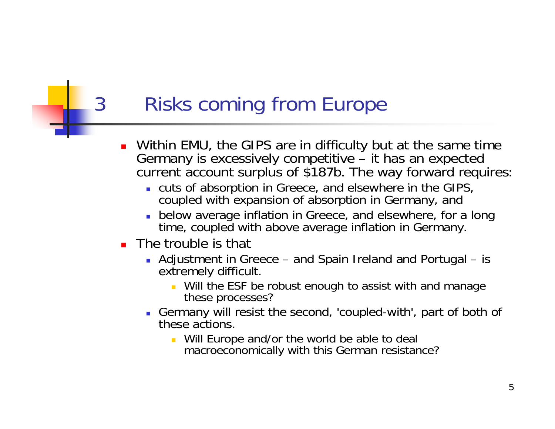## 3 Risks coming from Europe

- П Within EMU, the GIPS are in difficulty but at the same time<br>Germany is excessively competitive – it has an expected current account surplus of \$187b. The way forward requires:
	- **u** cuts of absorption in Greece, and elsewhere in the GIPS, coupled with expansion of absorption in Germany, and
	- below average inflation in Greece, and elsewhere, for a long time, coupled with above average inflation in Germany.
- **The trouble is that** 
	- Adjustment in Greece and Spain Ireland and Portugal is extremely difficult.
		- **Will the ESF be robust enough to assist with and manage** these processes?
	- Germany will resist the second, 'coupled-with', part of both of these actions.
		- **Will Europe and/or the world be able to deal** macroeconomically with this German resistance?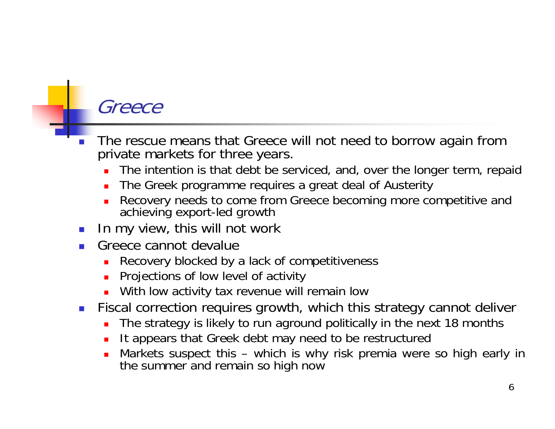### Greece

- H The rescue means that Greece will not need to borrow again from private markets for three years.
	- ▉ The intention is that debt be serviced, and, over the longer term, repaid
	- П The Greek programme requires <sup>a</sup> great deal of Austerity
	- ▉ Recovery needs to come from Greece becoming more competitive and achieving export-led growth
- H In my view, this will not work
- H Greece cannot devalue
	- ▉ Recovery blocked by a lack of competitiveness
	- Projections of low level of activity
	- **Nith low activity tax revenue will remain low**
- **Fiscal correction requires growth, which this strategy cannot deliver** 
	- П The strategy is likely to run aground politically in the next 18 months
	- ▉ It appears that Greek debt may need to be restructured
	- Markets suspect this which is why risk premia were so high early in ▉ the summer and remain so high now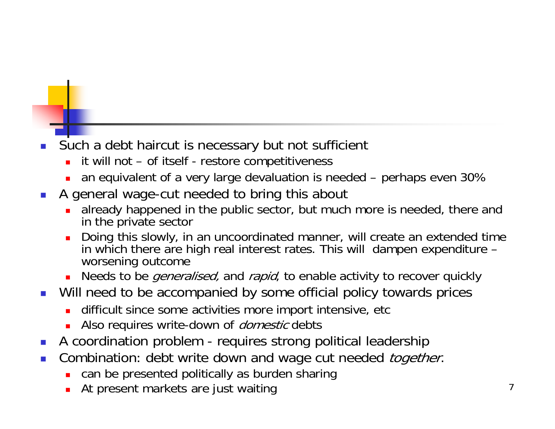#### F. Such a debt haircut is necessary but not sufficient

- ▉ it will not – of itself - restore competitiveness
- ▉ an equivalent of a very large devaluation is needed – perhaps even 30%
- × A general wage-cut needed to bring this about
	- П already happened in the public sector, but much more is needed, there and in the private sector
	- ш **Doing this slowly, in an uncoordinated manner, will create an extended time** in which there are high real interest rates. This will dampen expenditure – worsening outcome
	- ▉ Needs to be *generalised*, and *rapid*, to enable activity to recover quickly
- $\mathcal{L}_{\mathcal{A}}$  Will need to be accompanied by some official policy towards prices
	- ▉ difficult since some activities more import intensive, etc
	- Also requires write-down of *domestic* debts
- $\mathbb{R}^3$ A coordination problem - requires strong political leadership
- $\mathcal{L}_{\mathcal{A}}$ Combination: debt write down and wage cut needed *together*.
	- ▉ can be presented politically as burden sharing
	- At present markets are just waiting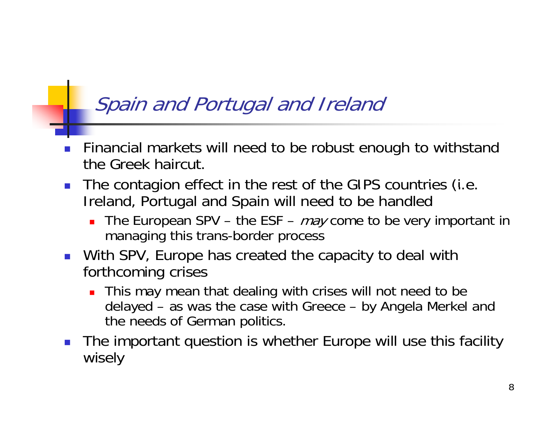### Spain and Portugal and Ireland

- P. Financial markets will need to be robust enough to withstand the Greek haircut.
- $\mathbf{1}$ The contagion effect in the rest of the GIPS countries (i.e. Ireland, Portugal and Spain will need to be handled
	- Ξ The European SPV – the ESF –  $may$  come to be very important in managing this trans-border process
- **Nith SPV, Europe has created the capacity to deal with** forthcoming crises
	- Ξ This may mean that dealing with crises will not need to be delayed – as was the case with Greece – by Angela Merkel and the needs of German politics.
- P. The important question is whether Europe will use this facility wisely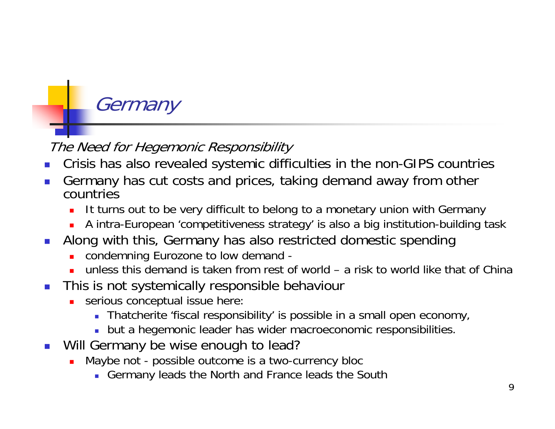# **Germany**

### The Need for Hegemonic Responsibility

- F. Crisis has also revealed systemic difficulties in the non-GIPS countries
- F. Germany has cut costs and prices, taking demand away from other countries
	- П It turns out to be very difficult to belong to a monetary union with Germany
	- A intra-European 'competitiveness strategy' is also a big institution-building task
- × Along with this, Germany has also restricted domestic spending
	- П condemning Eurozone to low demand -
	- unless this demand is taken from rest of world a risk to world like that of China
- $\overline{\mathbb{R}^n}$  This is not systemically responsible behaviour
	- Ō. serious conceptual issue here:
		- Thatcherite 'fiscal responsibility' is possible in a small open economy,
		- but a hegemonic leader has wider macroeconomic responsibilities.
- **Nill Germany be wise enough to lead?** 
	- П Maybe not - possible outcome is a two-currency bloc
		- Germany leads the North and France leads the South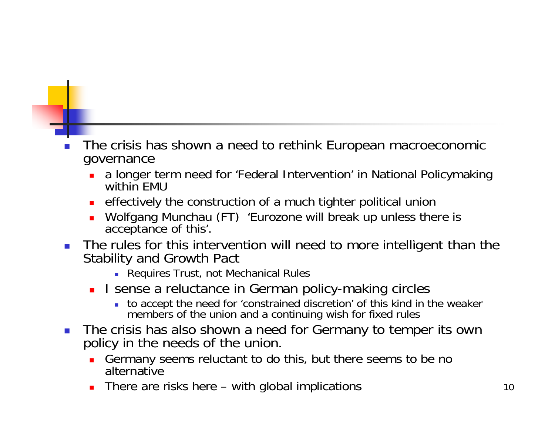#### П The crisis has shown a need to rethink European macroeconomic governance

- a longer term need for 'Federal Intervention' in National Policymaking within FMU
- effectively the construction of a much tighter political union
- ▛ Wolfgang Munchau (FT) 'Eurozone will break up unless there is acceptance of this'.
- **The rules for this intervention will need to more intelligent than the** Stability and Growth Pact
	- **Requires Trust, not Mechanical Rules**
	- **I** sense a reluctance in German policy-making circles
		- to accept the need for 'constrained discretion' of this kind in the weaker members of the union and a continuing wish for fixed rules
- The crisis has also shown a need for Germany to temper its own policy in the needs of the union.
	- **Germany seems reluctant to do this, but there seems to be no** alternative
	- ▛ There are risks here – with global implications 10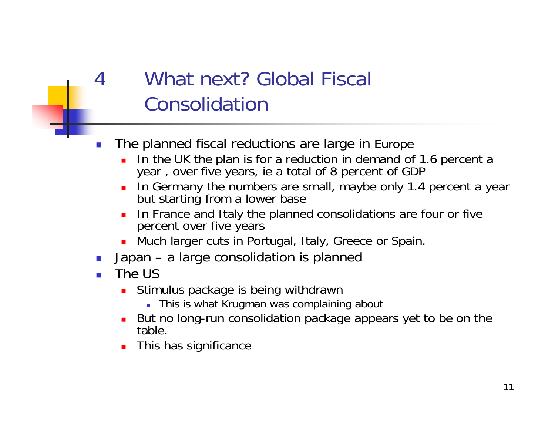# What next? Global Fiscal Consolidation

- П The planned fiscal reductions are large in Europe
	- Г In the UK the plan is for a reduction in demand of 1.6 percent a year, over five years, ie a total of 8 percent of GDP
	- Г In Germany the numbers are small, maybe only 1.4 percent a year but starting from a lower base
	- L In France and Italy the planned consolidations are four or five percent over five years
	- **Much larger cuts in Portugal, Italy, Greece or Spain.**
- M. Japan – a large consolidation is planned
- M. The US

4

- $\blacksquare$ Stimulus package is being withdrawn
	- This is what Krugman was complaining about
- Г But no long-run consolidation package appears yet to be on the table.
- Г **This has significance**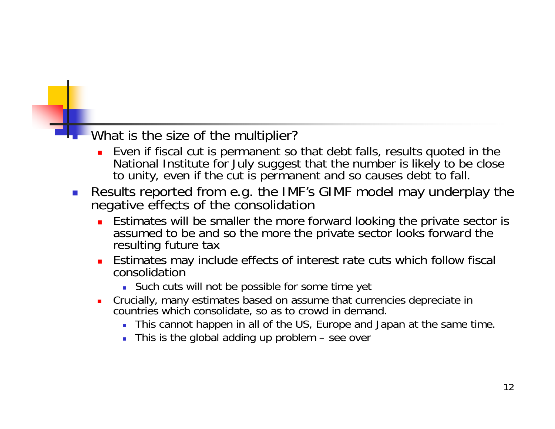### **What is the size of the multiplier?**

- П Even if fiscal cut is permanent so that debt falls, results quoted in the National Institute for July suggest that the number is likely to be close to unity, even if the cut is permanent and so causes debt to fall.
- $\left\lfloor \cdot \right\rfloor$ • Results reported from e.g. the IMF's GIMF model may underplay the negative effects of the consolidation
	- **E** Estimates will be smaller the more forward looking the private sector is assumed to be and so the more the private sector looks forward the resulting future tax
	- П Estimates may include effects of interest rate cuts which follow fiscal consolidation
		- Such cuts will not be possible for some time yet
	- Crucially, many estimates based on assume that currencies depreciate in countries which consolidate, so as to crowd in demand.
		- This cannot happen in all of the US, Europe and Japan at the same time.
		- This is the global adding up problem see over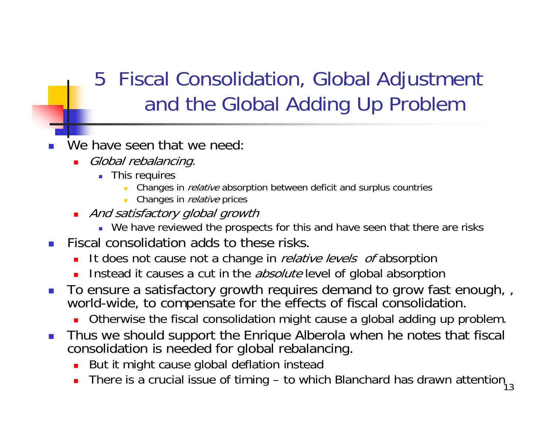# 5 Fiscal Consolidation, Global Adjustment and the Global Adding Up Problem

- F. We have seen that we need:
	- ▉ Global rebalancing.
		- This requires
			- Changes in *relative* absorption between deficit and surplus countries
			- Changes in *relative* prices
	- And satisfactory global growth
		- We have reviewed the prospects for this and have seen that there are risks
- $\overline{\mathcal{A}}$ Fiscal consolidation adds to these risks.
	- ▉ It does not cause not a change in *relative levels of* absorption
	- ▉ Instead it causes a cut in the *absolute* level of global absorption
- $\mathcal{L}_{\mathcal{A}}$ To ensure a satisfactory growth requires demand to grow fast enough, , world-wide, to compensate for the effects of fiscal consolidation.
	- П Otherwise the fiscal consolidation might cause a global adding up problem.
- $\Box$  Thus we should support the Enrique Alberola when he notes that fiscal consolidation is needed for global rebalancing.
	- But it might cause global deflation instead
	- There is a crucial issue of timing to which Blanchard has drawn attention  $\frac{13}{13}$ ▉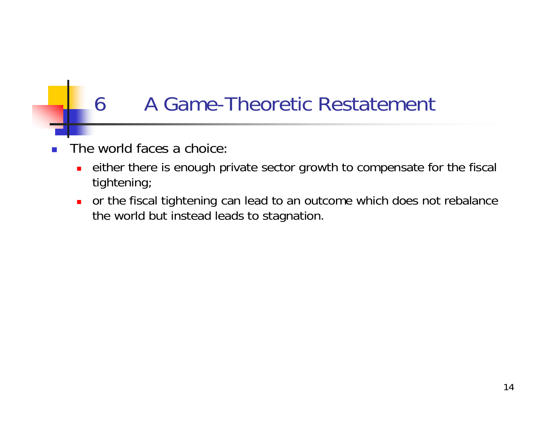## 6 A Game-Theoretic Restatement

- The world faces a choice:
	- $\blacksquare$  either there is enough private sector growth to compensate for the fiscal tightening;
	- $\blacksquare$  or the fiscal tightening can lead to an outcome which does not rebalance the world but instead leads to stagnation.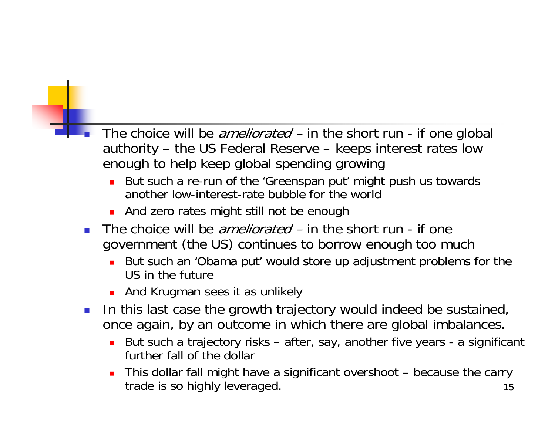- The choice will be *ameliorated* in the short run if one global authority – the US Federal Reserve – keeps interest rates low enough to help keep global spending growing
	- ▉ But such a re-run of the 'Greenspan put' might push us towards another low-interest-rate bubble for the world
	- **And zero rates might still not be enough**
- $\mathcal{L}^{\mathcal{L}}$ The choice will be *ameliorated* – in the short run - if one government (the US) continues to borrow enough too much
	- $\mathbf{r}$  But such an 'Obama put' would store up adjustment problems for the US in the future
	- **And Krugman sees it as unlikely**
- $\mathcal{L}^{\mathcal{L}}$  In this last case the growth trajectory would indeed be sustained, once again, by an outcome in which there are global imbalances.
	- ▉ But such a trajectory risks – after, say, another five years - a significant further fall of the dollar
	- 15 This dollar fall might have a significant overshoot – because the carry trade is so highly leveraged.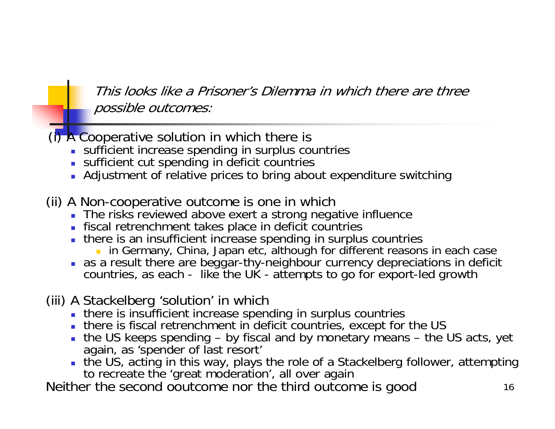This looks like a Prisoner's Dilemma in which there are three possible outcomes:

(i) A Cooperative solution in which there is

- sufficient increase spending in surplus countries
- sufficient cut spending in deficit countries
- Adjustment of relative prices to bring about expenditure switching
- (ii) A Non-cooperative outcome is one in which
	- The risks reviewed above exert a strong negative influence
	- fiscal retrenchment takes place in deficit countries
	- there is an insufficient increase spending in surplus countries
		- **in** Germany, China, Japan etc, although for different reasons in each case
	- as a result there are beggar-thy-neighbour currency depreciations in deficit countries, as each - like the UK - attempts to go for export-led growth
- (iii) A Stackelberg 'solution' in which
	- there is insufficient increase spending in surplus countries
	- there is fiscal retrenchment in deficit countries, except for the US
	- the US keeps spending by fiscal and by monetary means the US acts, yet again, as 'spender of last resort'
	- the US, acting in this way, plays the role of a Stackelberg follower, attempting to recreate the 'great moderation', all over again

Neither the second ooutcome nor the third outcome is good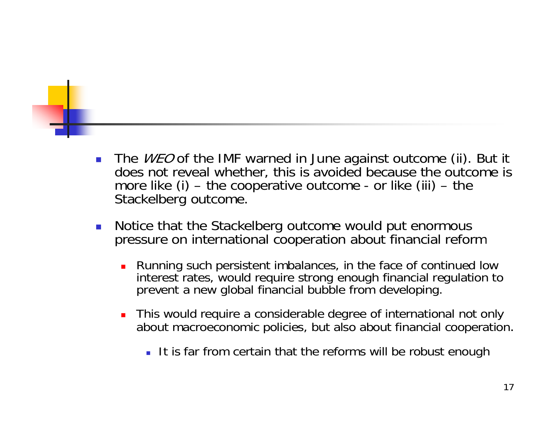- The *WEO* of the IMF warned in June against outcome (ii). But it does not reveal whether, this is avoided because the outcome is more like  $(i)$  – the cooperative outcome - or like  $(iii)$  – the Stackelberg outcome.
- Notice that the Stackelberg outcome would put enormous pressure on international cooperation about financial reform
	- Running such persistent imbalances, in the face of continued low interest rates, would require strong enough financial regulation to prevent a new global financial bubble from developing.
	- $\blacksquare$  This would require a considerable degree of international not only about macroeconomic policies, but also about financial cooperation.
		- It is far from certain that the reforms will be robust enough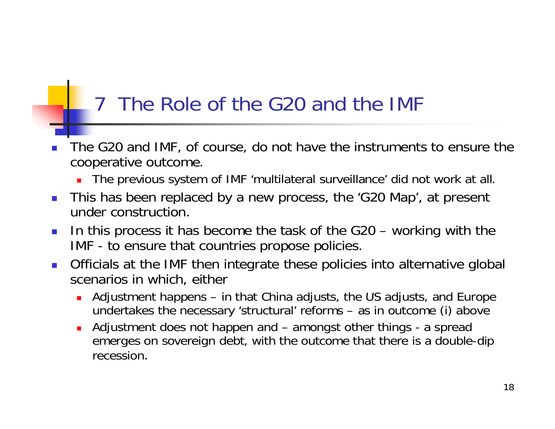### 7 The Role of the G20 and the IMF

- F. The G20 and IMF, of course, do not have the instruments to ensure the cooperative outcome.
	- The previous system of IMF 'multilateral surveillance' did not work at all.
- This has been replaced by a new process, the 'G20 Map', at present under construction.
- $\mathcal{L}^{\text{max}}$  In this process it has become the task of the G20 – working with the IMF - to ensure that countries propose policies.
- Officials at the IMF then integrate these policies into alternative global scenarios in which, either
	- **A**djustment happens in that China adjusts, the US adjusts, and Europe undertakes the necessary 'structural' reforms – as in outcome (i) above
	- $\blacksquare$  Adjustment does not happen and – amongst other things - a spread emerges on sovereign debt, with the outcome that there is a double-dip recession.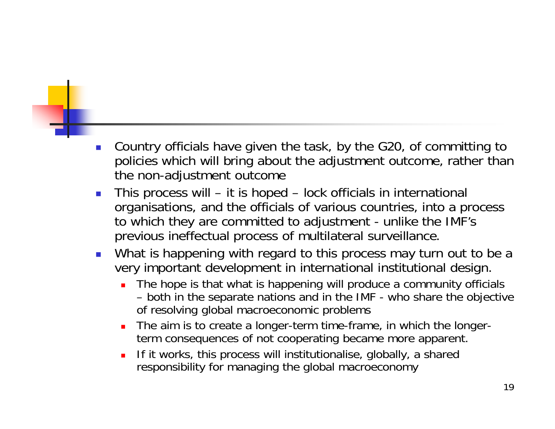- П Country officials have given the task, by the G20, of committing to policies which will bring about the adjustment outcome, rather than the non-adjustment outcome
- П **This process will – it is hoped – lock officials in international** organisations, and the officials of various countries, into a process to which they are committed to adjustment - unlike the IMF's previous ineffectual process of multilateral surveillance.
- П What is happening with regard to this process may turn out to be a very important development in international institutional design.
	- The hope is that what is happening will produce a community officials – both in the separate nations and in the IMF IMF - who share the objective of resolving global macroeconomic problems
	- $\blacksquare$  The aim is to create a longer-term time-frame, in which the longerterm consequences of not cooperating became more apparent.
	- If it works, this process will institutionalise, globally, a shared ■ responsibility for managing the global macroeconomy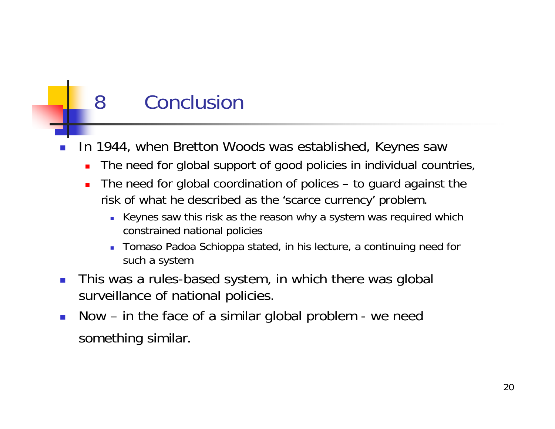# 8 Conclusion

- F. In 1944, when Bretton Woods was established, Keynes saw
	- $\blacksquare$ The need for global support of good policies in individual countries,
	- Ō. The need for global coordination of polices  $-$  to guard against the risk of what he described as the 'scarce currency' problem.
		- Keynes saw this risk as the reason why a system was required which constrained national policies
		- Tomaso Padoa Schioppa stated, in his lecture, a continuing need for such a system
- $\mathcal{L}_{\mathcal{A}}$  This was a rules-based system, in which there was global surveillance of national policies.
- $\mathcal{L}_{\mathcal{A}}$  Now – in the face of a similar global problem - we need something similar.